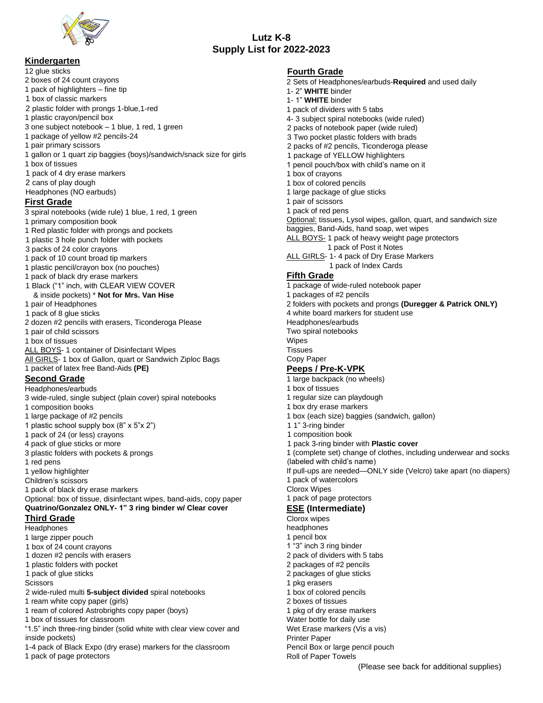

## **Kindergarten**

12 glue sticks

- 2 boxes of 24 count crayons
- 1 pack of highlighters fine tip
- 1 box of classic markers
- 2 plastic folder with prongs 1-blue,1-red
- 1 plastic crayon/pencil box
- 3 one subject notebook 1 blue, 1 red, 1 green
- 1 package of yellow #2 pencils-24
- 1 pair primary scissors
- 1 gallon or 1 quart zip baggies (boys)/sandwich/snack size for girls
- 1 box of tissues
- 1 pack of 4 dry erase markers
- 2 cans of play dough
- Headphones (NO earbuds)

#### **First Grade**

- 3 spiral notebooks (wide rule) 1 blue, 1 red, 1 green
- 1 primary composition book
- 1 Red plastic folder with prongs and pockets
- 1 plastic 3 hole punch folder with pockets
- 3 packs of 24 color crayons
- 1 pack of 10 count broad tip markers
- 1 plastic pencil/crayon box (no pouches)
- 1 pack of black dry erase markers
- 1 Black ("1" inch, with CLEAR VIEW COVER & inside pockets) \* **Not for Mrs. Van Hise**
- 1 pair of Headphones
- 1 pack of 8 glue sticks
- 2 dozen #2 pencils with erasers, Ticonderoga Please
- 1 pair of child scissors
- 1 box of tissues
- ALL BOYS-1 container of Disinfectant Wipes
- All GIRLS- 1 box of Gallon, quart or Sandwich Ziploc Bags
- 1 packet of latex free Band-Aids **(PE)**

# **Second Grade**

- Headphones/earbuds
- 3 wide-ruled, single subject (plain cover) spiral notebooks
- 1 composition books
- 1 large package of #2 pencils
- 1 plastic school supply box (8" x 5"x 2")
- 1 pack of 24 (or less) crayons
- 4 pack of glue sticks or more
- 3 plastic folders with pockets & prongs
- 1 red pens
- 1 yellow highlighter
- Children's scissors
- 1 pack of black dry erase markers

Optional: box of tissue, disinfectant wipes, band-aids, copy paper **Quatrino/Gonzalez ONLY- 1" 3 ring binder w/ Clear cover**

### **Third Grade**

- **Headphones**
- 1 large zipper pouch
- 1 box of 24 count crayons
- 1 dozen #2 pencils with erasers
- 1 plastic folders with pocket
- 1 pack of glue sticks
- **Scissors**
- 2 wide-ruled multi **5-subject divided** spiral notebooks
- 1 ream white copy paper (girls)
- 1 ream of colored Astrobrights copy paper (boys)
- 1 box of tissues for classroom
- "1.5" inch three-ring binder (solid white with clear view cover and inside pockets)
- 1-4 pack of Black Expo (dry erase) markers for the classroom
- 1 pack of page protectors

### **Fourth Grade**

**Lutz K-8 Supply List for 2022-2023**

- 2 Sets of Headphones/earbuds-**Required** and used daily
- 1- 2" **WHITE** binder
- 1- 1" **WHITE** binder
- 1 pack of dividers with 5 tabs
- 4- 3 subject spiral notebooks (wide ruled)
- 2 packs of notebook paper (wide ruled)
- 3 Two pocket plastic folders with brads
- 2 packs of #2 pencils, Ticonderoga please
- 1 package of YELLOW highlighters
- 1 pencil pouch/box with child's name on it
- 1 box of crayons
- 1 box of colored pencils
- 1 large package of glue sticks
- 1 pair of scissors
- 1 pack of red pens

Optional: tissues, Lysol wipes, gallon, quart, and sandwich size

- baggies, Band-Aids, hand soap, wet wipes
- ALL BOYS- 1 pack of heavy weight page protectors 1 pack of Post it Notes
- ALL GIRLS- 1-4 pack of Dry Erase Markers
	- 1 pack of Index Cards

### **Fifth Grade**

- 1 package of wide-ruled notebook paper
- 1 packages of #2 pencils
- 2 folders with pockets and prongs **(Duregger & Patrick ONLY)**

1 (complete set) change of clothes, including underwear and socks

If pull-ups are needed—ONLY side (Velcro) take apart (no diapers)

(Please see back for additional supplies)

- 4 white board markers for student use
- Headphones/earbuds
- Two spiral notebooks
- Wipes
- **Tissues**
- Copy Paper

# **Peeps / Pre-K-VPK**

- 1 large backpack (no wheels)
- 1 box of tissues
- 1 regular size can playdough

(labeled with child's name)

1 pack of page protectors **ESE (Intermediate)**

1 "3" inch 3 ring binder 2 pack of dividers with 5 tabs 2 packages of #2 pencils 2 packages of glue sticks

1 box of colored pencils 2 boxes of tissues

1 pkg of dry erase markers Water bottle for daily use Wet Erase markers (Vis a vis)

Pencil Box or large pencil pouch

1 box dry erase markers

1 composition book

1 pack of watercolors Clorox Wipes

Clorox wipes headphones 1 pencil box

1 pkg erasers

Printer Paper

Roll of Paper Towels

1 box (each size) baggies (sandwich, gallon) 1 1" 3-ring binder

1 pack 3-ring binder with **Plastic cover**